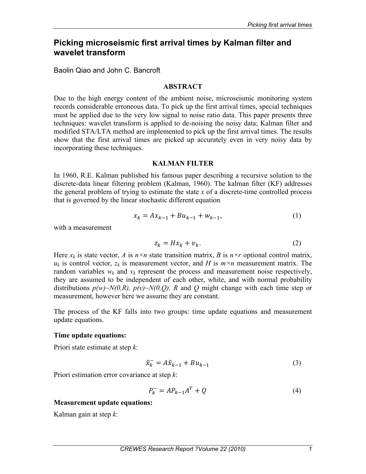# **Picking microseismic first arrival times by Kalman filter and wavelet transform**

Baolin Qiao and John C. Bancroft

### **ABSTRACT**

Due to the high energy content of the ambient noise, microseismic monitoring system records considerable erroneous data. To pick up the first arrival times, special techniques must be applied due to the very low signal to noise ratio data. This paper presents three techniques: wavelet transform is applied to de-noising the noisy data; Kalman filter and modified STA/LTA method are implemented to pick up the first arrival times. The results show that the first arrival times are picked up accurately even in very noisy data by incorporating these techniques.

### **KALMAN FILTER**

In 1960, R.E. Kalman published his famous paper describing a recursive solution to the discrete-data linear filtering problem (Kalman, 1960). The kalman filter (KF) addresses the general problem of trying to estimate the state *x* of a discrete-time controlled process that is governed by the linear stochastic different equation

$$
x_k = Ax_{k-1} + Bu_{k-1} + w_{k-1},
$$
\n(1)

with a measurement

$$
z_k = Hx_k + v_k. \tag{2}
$$

Here  $x_k$  is state vector, *A* is  $n \times n$  state transition matrix, *B* is  $n \times r$  optional control matrix,  $u_k$  is control vector,  $z_k$  is measurement vector, and *H* is  $m \times n$  measurement matrix. The random variables  $w_k$  and  $v_k$  represent the process and measurement noise respectively, they are assumed to be independent of each other, white, and with normal probability distributions  $p(w) \sim N(0,R)$ ,  $p(v) \sim N(0,Q)$ . *R* and *Q* might change with each time step or measurement, however here we assume they are constant.

The process of the KF falls into two groups: time update equations and measurement update equations.

## **Time update equations:**

Priori state estimate at step *k*:

$$
\hat{x}_{k}^{-} = A\hat{x}_{k-1} + Bu_{k-1}
$$
 (3)

Priori estimation error covariance at step *k*:

$$
P_k^- = AP_{k-1}A^T + Q \tag{4}
$$

## **Measurement update equations:**

Kalman gain at step *k*: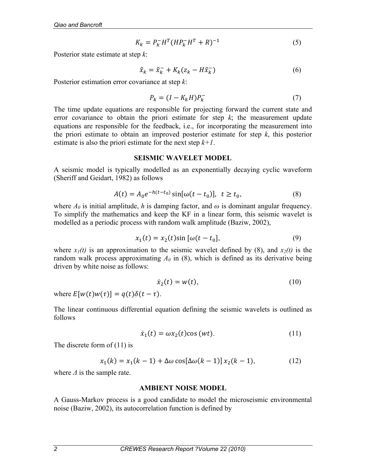$$
K_k = P_k^- H^T (H P_k^- H^T + R)^{-1}
$$
 (5)

Posterior state estimate at step *k*:

$$
\hat{x}_k = \hat{x}_k^- + K_k (z_k - H\hat{x}_k^-) \tag{6}
$$

Posterior estimation error covariance at step *k*:

$$
P_k = (I - K_k H) P_k^- \tag{7}
$$

The time update equations are responsible for projecting forward the current state and error covariance to obtain the priori estimate for step  $k$ ; the measurement update equations are responsible for the feedback, i.e., for incorporating the measurement into the priori estimate to obtain an improved posterior estimate for step *k*, this posterior estimate is also the priori estimate for the next step  $k+1$ .

#### **SEISMIC WAVELET MODEL**

A seismic model is typically modelled as an exponentially decaying cyclic waveform (Sheriff and Geidart, 1982) as follows

$$
A(t) = A_0 e^{-h(t-t_0)} \sin[\omega(t - t_0)], \quad t \ge t_0,
$$
\n(8)

where  $A_0$  is initial amplitude, *h* is damping factor, and  $\omega$  is dominant angular frequency. To simplify the mathematics and keep the KF in a linear form, this seismic wavelet is modelled as a periodic process with random walk amplitude (Baziw, 2002),

$$
x_1(t) = x_2(t)\sin[\omega(t - t_0)],\tag{9}
$$

where  $x_1(t)$  is an approximation to the seismic wavelet defined by (8), and  $x_2(t)$  is the random walk process approximating  $A_0$  in (8), which is defined as its derivative being driven by white noise as follows:

$$
\dot{x}_2(t) = w(t),\tag{10}
$$

where  $E[w(t)w(\tau)] = q(t)\delta(t-\tau)$ .

The linear continuous differential equation defining the seismic wavelets is outlined as follows

$$
\dot{x}_1(t) = \omega x_2(t) \cos{(wt)}.
$$
 (11)

The discrete form of (11) is

$$
x_1(k) = x_1(k-1) + \Delta\omega \cos[\Delta\omega(k-1)] x_2(k-1),
$$
 (12)

where *Δ* is the sample rate.

#### **AMBIENT NOISE MODEL**

A Gauss-Markov process is a good candidate to model the microseismic environmental noise (Baziw, 2002), its autocorrelation function is defined by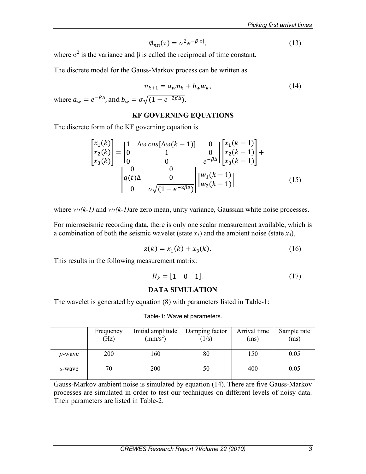$$
\varphi_{nn}(\tau) = \sigma^2 e^{-\beta |\tau|},\tag{13}
$$

where  $\sigma^2$  is the variance and  $\beta$  is called the reciprocal of time constant.

The discrete model for the Gauss-Markov process can be written as

$$
n_{k+1} = a_w n_k + b_w w_k,
$$
  
\n
$$
\sigma \sqrt{(1 - e^{-2\beta \Delta})}.
$$
\n(14)

where  $a_w = e^{-\beta \Delta}$ , and  $b_w = \sigma \sqrt{\overline{C}}$ .

### **KF GOVERNING EQUATIONS**

The discrete form of the KF governing equation is

$$
\begin{bmatrix} x_1(k) \\ x_2(k) \\ x_3(k) \end{bmatrix} = \begin{bmatrix} 1 & \Delta\omega \cos[\Delta\omega(k-1)] & 0 \\ 0 & 1 & 0 \\ 0 & 0 & e^{-\beta\Delta} \end{bmatrix} \begin{bmatrix} x_1(k-1) \\ x_2(k-1) \\ x_3(k-1) \end{bmatrix} + \begin{bmatrix} 0 & 0 \\ q(t)\Delta & 0 \\ 0 & \sigma\sqrt{(1 - e^{-2\beta\Delta})} \end{bmatrix} \begin{bmatrix} w_1(k-1) \\ w_2(k-1) \end{bmatrix}
$$
(15)

where  $w_1(k-1)$  and  $w_2(k-1)$ are zero mean, unity variance, Gaussian white noise processes.

For microseismic recording data, there is only one scalar measurement available, which is a combination of both the seismic wavelet (state  $x_1$ ) and the ambient noise (state  $x_3$ ),

$$
z(k) = x_1(k) + x_3(k). \tag{16}
$$

This results in the following measurement matrix:

$$
H_k = [1 \ 0 \ 1]. \tag{17}
$$

#### **DATA SIMULATION**

The wavelet is generated by equation (8) with parameters listed in Table-1:

|                | Frequency<br>(Hz) | Initial amplitude<br>$\text{(mm/s}^2)$ | Damping factor<br>(1/s) | Arrival time<br>(ms) | Sample rate<br>(ms) |
|----------------|-------------------|----------------------------------------|-------------------------|----------------------|---------------------|
| <i>p</i> -wave | <b>200</b>        | 160                                    | 80                      | 150                  | 0.05                |
| s-wave         | 70                | 200                                    | 50                      | 400                  | 0.05                |

#### Table-1: Wavelet parameters.

Gauss-Markov ambient noise is simulated by equation (14). There are five Gauss-Markov processes are simulated in order to test our techniques on different levels of noisy data. Their parameters are listed in Table-2.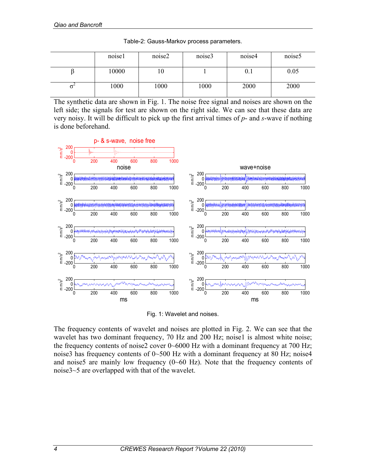| noise1 | noise2 | noise3 | noise4 | noise <sub>5</sub> |
|--------|--------|--------|--------|--------------------|
| 10000  | 10     |        | 0.1    | 0.05               |
| 1000   | 1000   | 1000   | 2000   | 2000               |

Table-2: Gauss-Markov process parameters.

The synthetic data are shown in Fig. 1. The noise free signal and noises are shown on the left side; the signals for test are shown on the right side. We can see that these data are very noisy. It will be difficult to pick up the first arrival times of *p*- and *s*-wave if nothing is done beforehand.



Fig. 1: Wavelet and noises.

The frequency contents of wavelet and noises are plotted in Fig. 2. We can see that the wavelet has two dominant frequency, 70 Hz and 200 Hz; noise1 is almost white noise; the frequency contents of noise2 cover 0~6000 Hz with a dominant frequency at 700 Hz; noise3 has frequency contents of  $0\nu$ -500 Hz with a dominant frequency at 80 Hz; noise4 and noise5 are mainly low frequency  $(0~60~\text{Hz})$ . Note that the frequency contents of noise3~5 are overlapped with that of the wavelet.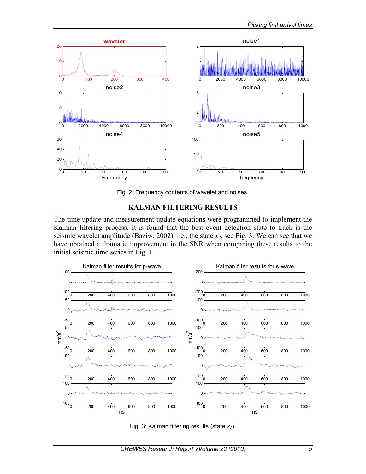

Fig. 2: Frequency contents of wavelet and noises.

## **KALMAN FILTERING RESULTS**

The time update and measurement update equations were programmed to implement the Kalman filtering process. It is found that the best event detection state to track is the seismic wavelet amplitude (Baziw, 2002), i.e., the state  $x_2$ , see Fig. 3. We can see that we have obtained a dramatic improvement in the SNR when comparing these results to the initial seismic time series in Fig. 1.



Fig. 3: Kalman filtering results (state  $x_2$ ).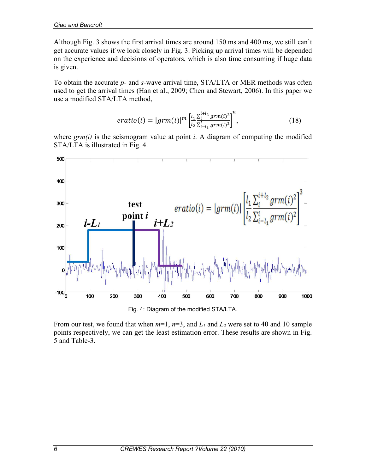Although Fig. 3 shows the first arrival times are around 150 ms and 400 ms, we still can't get accurate values if we look closely in Fig. 3. Picking up arrival times will be depended on the experience and decisions of operators, which is also time consuming if huge data is given.

To obtain the accurate *p*- and *s*-wave arrival time, STA/LTA or MER methods was often used to get the arrival times (Han et al., 2009; Chen and Stewart, 2006). In this paper we use a modified STA/LTA method,

$$
eratio(i) = |grm(i)|^m \left[ \frac{l_1}{l_2} \frac{\sum_{i=1}^{i+l_2} grm(i)^2}{\sum_{i=l_1}^{l} grm(i)^2} \right]^n, \tag{18}
$$

where *grm(i)* is the seismogram value at point *i*. A diagram of computing the modified STA/LTA is illustrated in Fig. 4.



From our test, we found that when  $m=1$ ,  $n=3$ , and  $L_1$  and  $L_2$  were set to 40 and 10 sample points respectively, we can get the least estimation error. These results are shown in Fig. 5 and Table-3.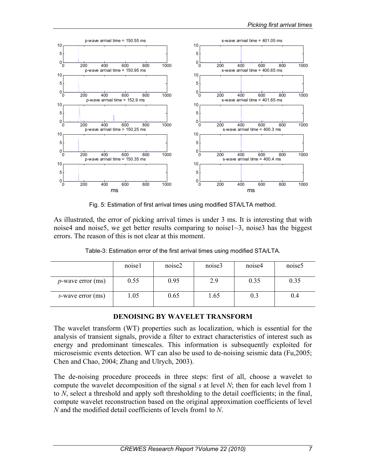

Fig. 5: Estimation of first arrival times using modified STA/LTA method.

As illustrated, the error of picking arrival times is under 3 ms. It is interesting that with noise4 and noise5, we get better results comparing to noise1~3, noise3 has the biggest errors. The reason of this is not clear at this moment.

|                      | noisel | noise2 | noise3 | noise4 | noise <sub>5</sub> |
|----------------------|--------|--------|--------|--------|--------------------|
| $p$ -wave error (ms) | 0.55   | 0.95   | 2.9    | 0.35   | 0.35               |
| s-wave error (ms)    | .05    | 0.65   | 1.65   | 0.3    | 0.4                |

Table-3: Estimation error of the first arrival times using modified STA/LTA.

## **DENOISING BY WAVELET TRANSFORM**

The wavelet transform (WT) properties such as localization, which is essential for the analysis of transient signals, provide a filter to extract characteristics of interest such as energy and predominant timescales. This information is subsequently exploited for microseismic events detection. WT can also be used to de-noising seismic data (Fu,2005; Chen and Chao, 2004; Zhang and Ulrych, 2003).

The de-noising procedure proceeds in three steps: first of all, choose a wavelet to compute the wavelet decomposition of the signal *s* at level *N*; then for each level from 1 to *N*, select a threshold and apply soft thresholding to the detail coefficients; in the final, compute wavelet reconstruction based on the original approximation coefficients of level *N* and the modified detail coefficients of levels from1 to *N*.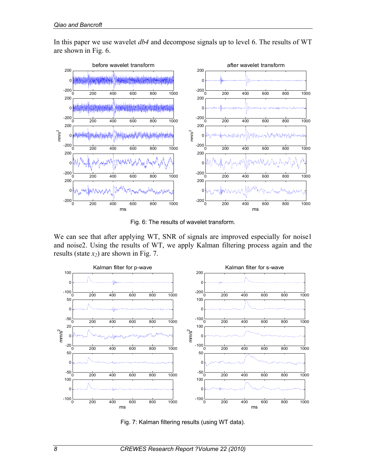In this paper we use wavelet *db4* and decompose signals up to level 6. The results of WT are shown in Fig. 6.



Fig. 6: The results of wavelet transform.

We can see that after applying WT, SNR of signals are improved especially for noise1 and noise2. Using the results of WT, we apply Kalman filtering process again and the results (state *x2*) are shown in Fig. 7.



Fig. 7: Kalman filtering results (using WT data).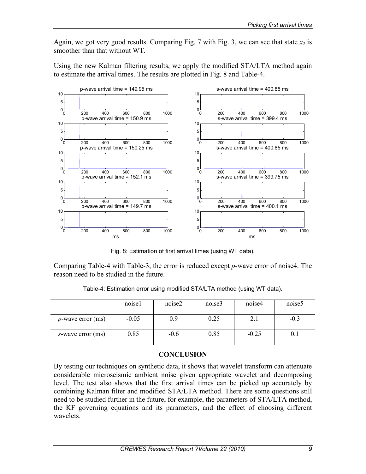Again, we got very good results. Comparing Fig. 7 with Fig. 3, we can see that state  $x_2$  is smoother than that without WT.

Using the new Kalman filtering results, we apply the modified STA/LTA method again to estimate the arrival times. The results are plotted in Fig. 8 and Table-4.



Fig. 8: Estimation of first arrival times (using WT data).

Comparing Table-4 with Table-3, the error is reduced except *p*-wave error of noise4. The reason need to be studied in the future.

|                      | noisel  | noise2 | noise3 | noise4  | noise <sub>5</sub> |
|----------------------|---------|--------|--------|---------|--------------------|
| $p$ -wave error (ms) | $-0.05$ | 0.9    | 0.25   | 2.1     | $-0.3$             |
| s-wave error (ms)    | 0.85    | $-0.6$ | 0.85   | $-0.25$ |                    |

Table-4: Estimation error using modified STA/LTA method (using WT data).

## **CONCLUSION**

By testing our techniques on synthetic data, it shows that wavelet transform can attenuate considerable microseismic ambient noise given appropriate wavelet and decomposing level. The test also shows that the first arrival times can be picked up accurately by combining Kalman filter and modified STA/LTA method. There are some questions still need to be studied further in the future, for example, the parameters of STA/LTA method, the KF governing equations and its parameters, and the effect of choosing different wavelets.